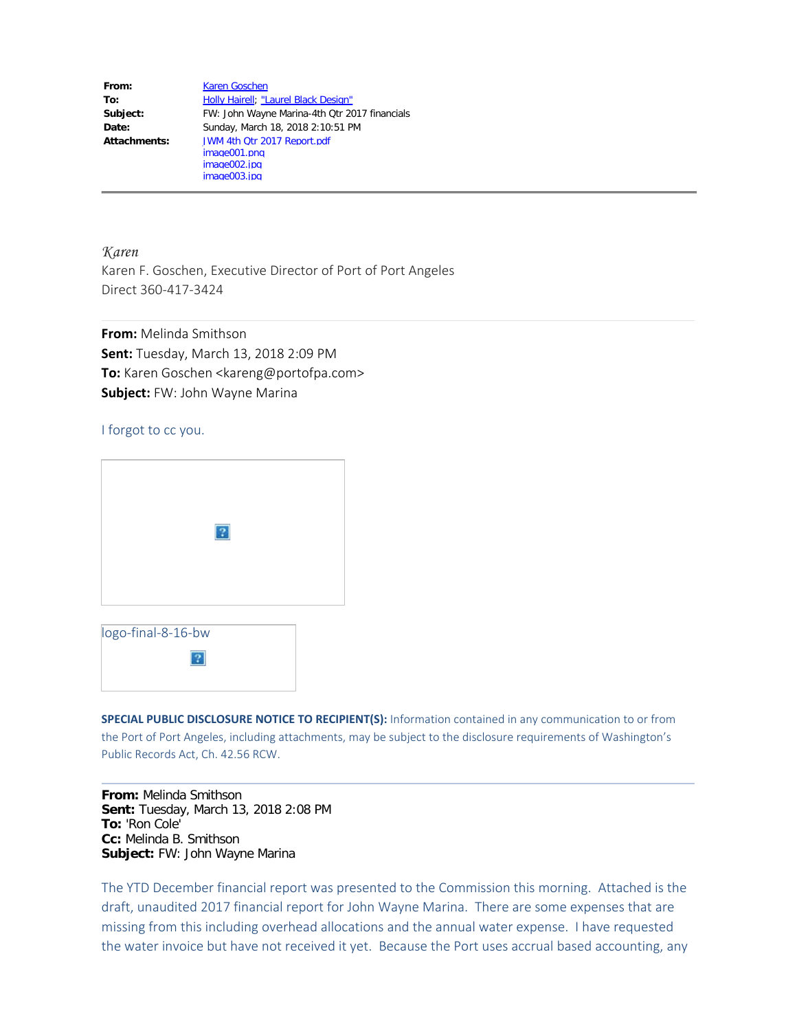| From:        | <b>Karen Goschen</b>                          |
|--------------|-----------------------------------------------|
| To:          | Holly Hairell; "Laurel Black Design"          |
| Subject:     | FW: John Wayne Marina-4th Qtr 2017 financials |
| Date:        | Sunday, March 18, 2018 2:10:51 PM             |
| Attachments: | JWM 4th Qtr 2017 Report.pdf                   |
|              | image001.png                                  |
|              | image002.jpg                                  |
|              | image003.jpg                                  |

*Karen* Karen F. Goschen, Executive Director of Port of Port Angeles Direct 360-417-3424

**From:** Melinda Smithson **Sent:** Tuesday, March 13, 2018 2:09 PM **To:** Karen Goschen <kareng@portofpa.com> **Subject:** FW: John Wayne Marina

I forgot to cc you.

|                    | $\bullet$ |  |
|--------------------|-----------|--|
|                    |           |  |
|                    |           |  |
|                    |           |  |
|                    |           |  |
|                    |           |  |
|                    |           |  |
|                    |           |  |
| logo-final-8-16-bw |           |  |
|                    |           |  |

 $\overline{?}$ 

**SPECIAL PUBLIC DISCLOSURE NOTICE TO RECIPIENT(S):** Information contained in any communication to or from the Port of Port Angeles, including attachments, may be subject to the disclosure requirements of Washington's Public Records Act, Ch. 42.56 RCW.

**From:** Melinda Smithson **Sent:** Tuesday, March 13, 2018 2:08 PM **To:** 'Ron Cole' **Cc:** Melinda B. Smithson **Subject:** FW: John Wayne Marina

The YTD December financial report was presented to the Commission this morning. Attached is the draft, unaudited 2017 financial report for John Wayne Marina. There are some expenses that are missing from this including overhead allocations and the annual water expense. I have requested the water invoice but have not received it yet. Because the Port uses accrual based accounting, any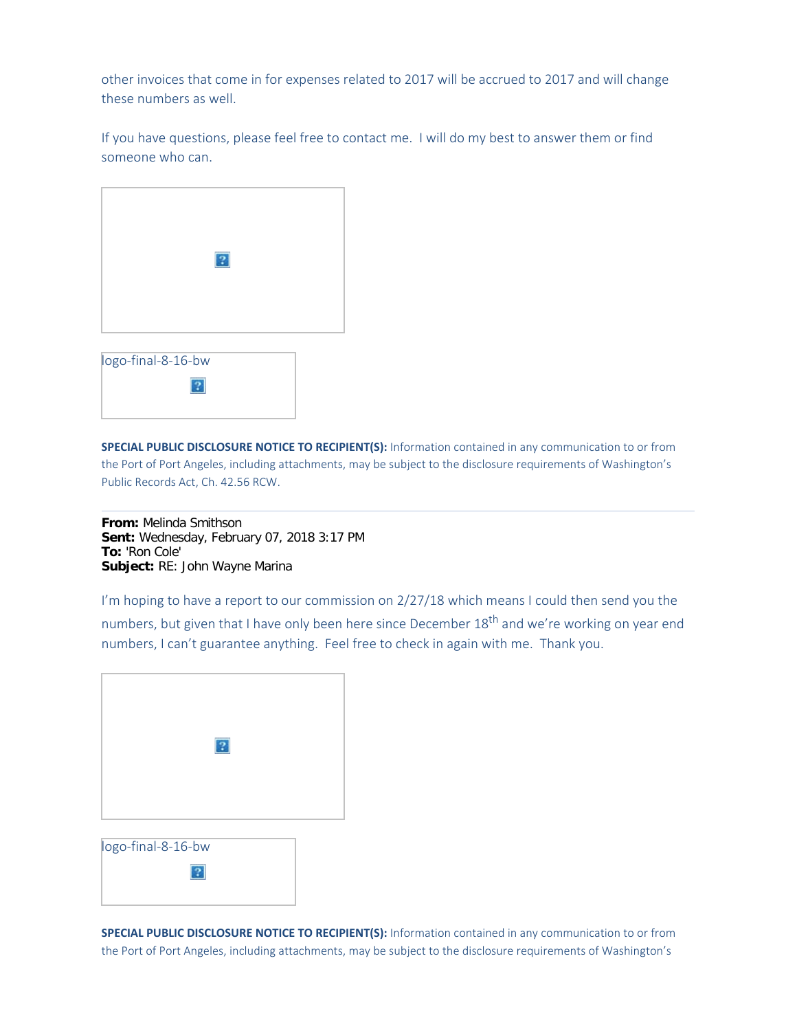other invoices that come in for expenses related to 2017 will be accrued to 2017 and will change these numbers as well.

If you have questions, please feel free to contact me. I will do my best to answer them or find someone who can.

|  |  | $\boxed{?}$ |  |  |
|--|--|-------------|--|--|
|  |  |             |  |  |

| logo-final-8-16-bw |  |  |  |
|--------------------|--|--|--|
|                    |  |  |  |
|                    |  |  |  |

**SPECIAL PUBLIC DISCLOSURE NOTICE TO RECIPIENT(S):** Information contained in any communication to or from the Port of Port Angeles, including attachments, may be subject to the disclosure requirements of Washington's Public Records Act, Ch. 42.56 RCW.

**From:** Melinda Smithson **Sent:** Wednesday, February 07, 2018 3:17 PM **To:** 'Ron Cole' **Subject:** RE: John Wayne Marina

I'm hoping to have a report to our commission on 2/27/18 which means I could then send you the numbers, but given that I have only been here since December 18<sup>th</sup> and we're working on year end numbers, I can't guarantee anything. Feel free to check in again with me. Thank you.

| $\boxed{?}$ |  |
|-------------|--|
|             |  |
|             |  |
|             |  |
|             |  |
|             |  |
|             |  |
|             |  |
|             |  |
|             |  |
| ш<br>$\sim$ |  |



**SPECIAL PUBLIC DISCLOSURE NOTICE TO RECIPIENT(S):** Information contained in any communication to or from the Port of Port Angeles, including attachments, may be subject to the disclosure requirements of Washington's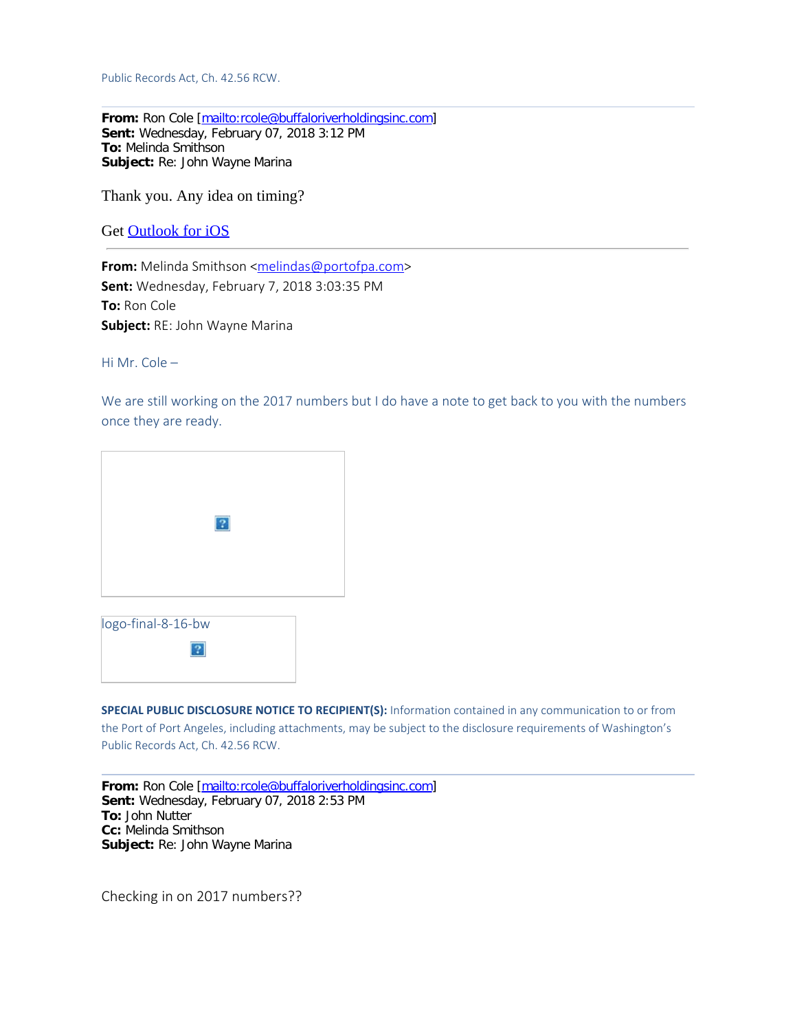Public Records Act, Ch. 42.56 RCW.

**From:** Ron Cole [[mailto:rcole@buffaloriverholdingsinc.com\]](mailto:rcole@buffaloriverholdingsinc.com) **Sent:** Wednesday, February 07, 2018 3:12 PM **To:** Melinda Smithson **Subject:** Re: John Wayne Marina

Thank you. Any idea on timing?

Get [Outlook](https://aka.ms/o0ukef) for iOS

**From:** Melinda Smithson [<melindas@portofpa.com](mailto:melindas@portofpa.com)> **Sent:** Wednesday, February 7, 2018 3:03:35 PM **To:** Ron Cole **Subject:** RE: John Wayne Marina

Hi Mr. Cole –

We are still working on the 2017 numbers but I do have a note to get back to you with the numbers once they are ready.

|                    | $\sqrt{2}$ |
|--------------------|------------|
|                    |            |
| logo-final-8-16-bw |            |

 $|2|$ 

**SPECIAL PUBLIC DISCLOSURE NOTICE TO RECIPIENT(S):** Information contained in any communication to or from the Port of Port Angeles, including attachments, may be subject to the disclosure requirements of Washington's Public Records Act, Ch. 42.56 RCW.

**From:** Ron Cole [[mailto:rcole@buffaloriverholdingsinc.com\]](mailto:rcole@buffaloriverholdingsinc.com) **Sent:** Wednesday, February 07, 2018 2:53 PM **To:** John Nutter **Cc:** Melinda Smithson **Subject:** Re: John Wayne Marina

Checking in on 2017 numbers??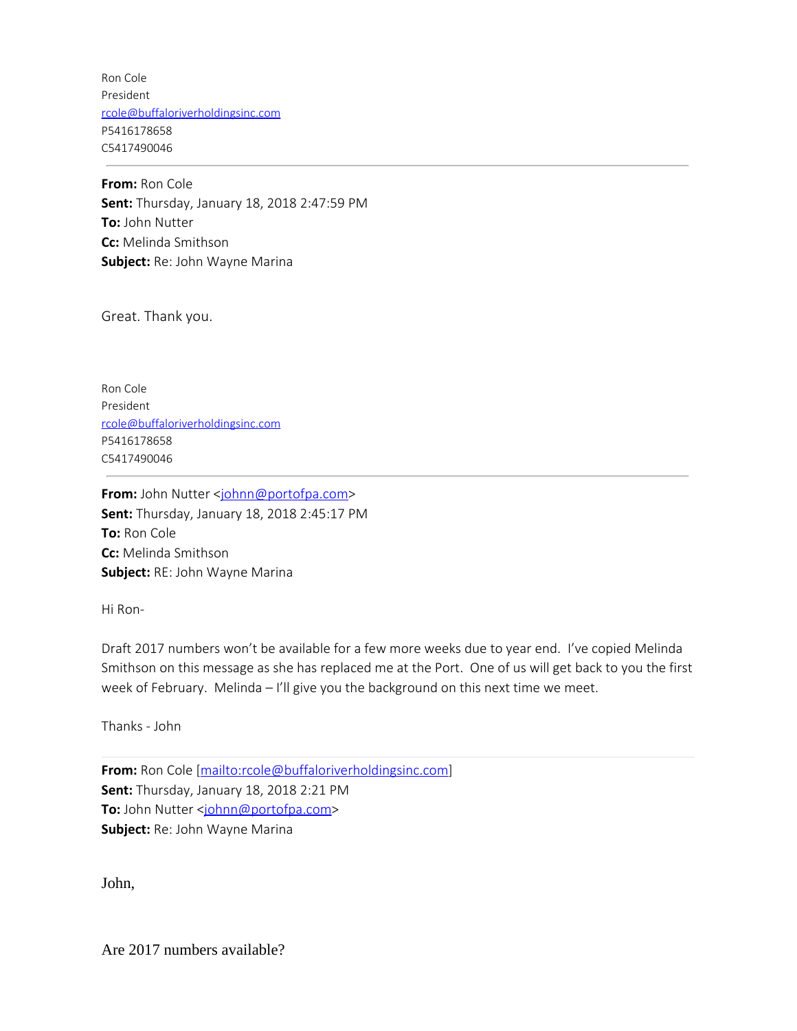Ron Cole President [rcole@buffaloriverholdingsinc.com](mailto:rcole@buffaloriverholdingsinc.com) P5416178658 C5417490046

**From:** Ron Cole **Sent:** Thursday, January 18, 2018 2:47:59 PM **To:** John Nutter **Cc:** Melinda Smithson **Subject:** Re: John Wayne Marina

Great. Thank you.

Ron Cole President [rcole@buffaloriverholdingsinc.com](mailto:rcole@buffaloriverholdingsinc.com) P5416178658 C5417490046

**From:** John Nutter <[johnn@portofpa.com>](mailto:johnn@portofpa.com) **Sent:** Thursday, January 18, 2018 2:45:17 PM **To:** Ron Cole **Cc:** Melinda Smithson **Subject:** RE: John Wayne Marina

Hi Ron-

Draft 2017 numbers won't be available for a few more weeks due to year end. I've copied Melinda Smithson on this message as she has replaced me at the Port. One of us will get back to you the first week of February. Melinda - I'll give you the background on this next time we meet.

Thanks - John

**From:** Ron Cole [\[mailto:rcole@buffaloriverholdingsinc.com](mailto:rcole@buffaloriverholdingsinc.com)] **Sent:** Thursday, January 18, 2018 2:21 PM **To:** John Nutter <[johnn@portofpa.com>](mailto:johnn@portofpa.com) **Subject:** Re: John Wayne Marina

John,

Are 2017 numbers available?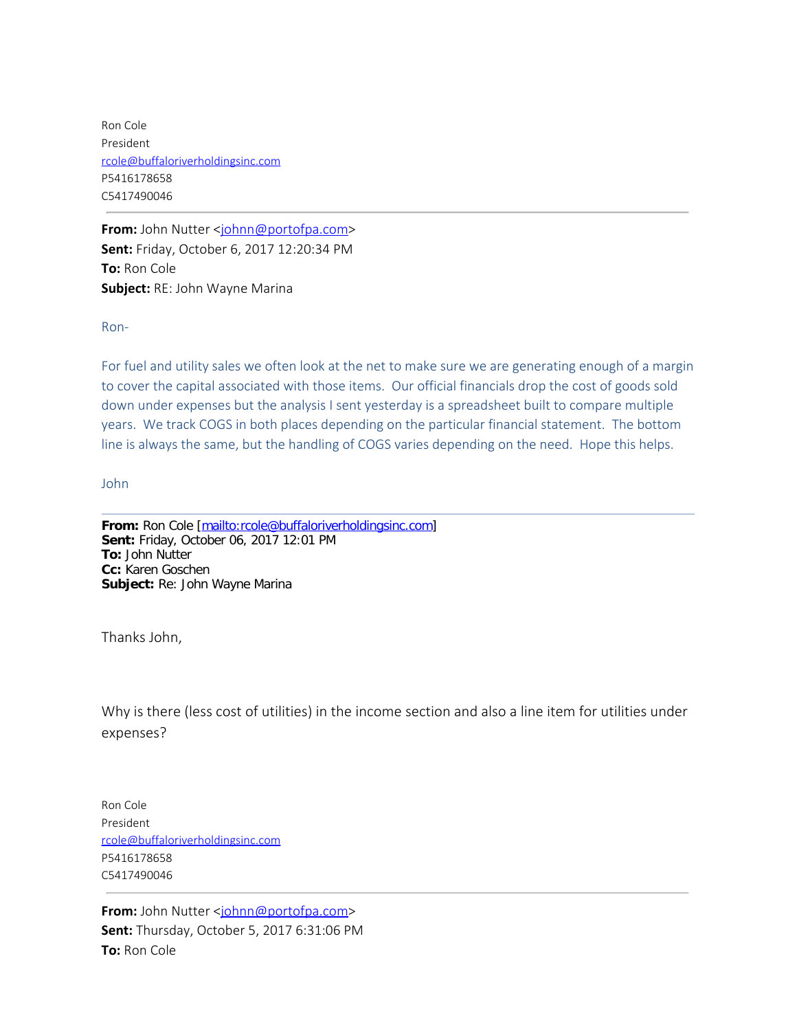Ron Cole President [rcole@buffaloriverholdingsinc.com](mailto:rcole@buffaloriverholdingsinc.com) P5416178658 C5417490046

**From:** John Nutter <[johnn@portofpa.com>](mailto:johnn@portofpa.com) **Sent:** Friday, October 6, 2017 12:20:34 PM **To:** Ron Cole **Subject:** RE: John Wayne Marina

Ron-

For fuel and utility sales we often look at the net to make sure we are generating enough of a margin to cover the capital associated with those items. Our official financials drop the cost of goods sold down under expenses but the analysis I sent yesterday is a spreadsheet built to compare multiple years. We track COGS in both places depending on the particular financial statement. The bottom line is always the same, but the handling of COGS varies depending on the need. Hope this helps.

John

**From:** Ron Cole [[mailto:rcole@buffaloriverholdingsinc.com\]](mailto:rcole@buffaloriverholdingsinc.com) **Sent:** Friday, October 06, 2017 12:01 PM **To:** John Nutter **Cc:** Karen Goschen **Subject:** Re: John Wayne Marina

Thanks John,

Why is there (less cost of utilities) in the income section and also a line item for utilities under expenses?

Ron Cole President [rcole@buffaloriverholdingsinc.com](mailto:rcole@buffaloriverholdingsinc.com) P5416178658 C5417490046

**From:** John Nutter <[johnn@portofpa.com>](mailto:johnn@portofpa.com) **Sent:** Thursday, October 5, 2017 6:31:06 PM **To:** Ron Cole